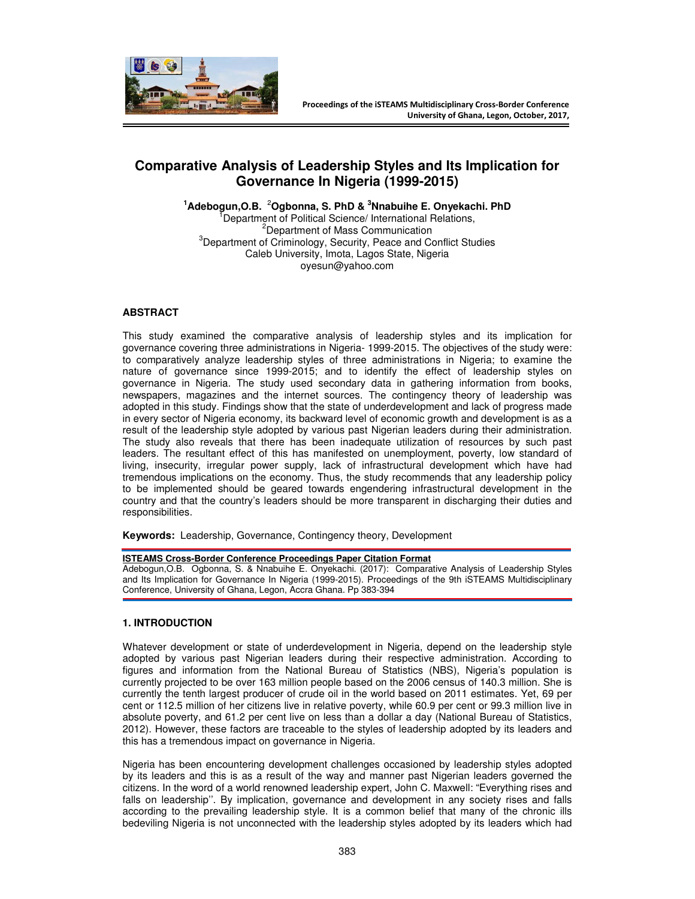

# **Comparative Analysis of Leadership Styles and Its Implication for Governance In Nigeria (1999-2015)**

**<sup>1</sup>Adebogun,O.B.** <sup>2</sup>**Ogbonna, S. PhD & <sup>3</sup>Nnabuihe E. Onyekachi. PhD**  Department of Political Science/ International Relations, <sup>2</sup>Department of Mass Communication <sup>3</sup>Department of Criminology, Security, Peace and Conflict Studies Caleb University, Imota, Lagos State, Nigeria oyesun@yahoo.com

# **ABSTRACT**

This study examined the comparative analysis of leadership styles and its implication for governance covering three administrations in Nigeria- 1999-2015. The objectives of the study were: to comparatively analyze leadership styles of three administrations in Nigeria; to examine the nature of governance since 1999-2015; and to identify the effect of leadership styles on governance in Nigeria. The study used secondary data in gathering information from books, newspapers, magazines and the internet sources. The contingency theory of leadership was adopted in this study. Findings show that the state of underdevelopment and lack of progress made in every sector of Nigeria economy, its backward level of economic growth and development is as a result of the leadership style adopted by various past Nigerian leaders during their administration. The study also reveals that there has been inadequate utilization of resources by such past leaders. The resultant effect of this has manifested on unemployment, poverty, low standard of living, insecurity, irregular power supply, lack of infrastructural development which have had tremendous implications on the economy. Thus, the study recommends that any leadership policy to be implemented should be geared towards engendering infrastructural development in the country and that the country's leaders should be more transparent in discharging their duties and responsibilities.

**Keywords:** Leadership, Governance, Contingency theory, Development

#### **ISTEAMS Cross-Border Conference Proceedings Paper Citation Format**

Adebogun,O.B. Ogbonna, S. & Nnabuihe E. Onyekachi. (2017): Comparative Analysis of Leadership Styles and Its Implication for Governance In Nigeria (1999-2015). Proceedings of the 9th iSTEAMS Multidisciplinary Conference, University of Ghana, Legon, Accra Ghana. Pp 383-394

#### **1. INTRODUCTION**

Whatever development or state of underdevelopment in Nigeria, depend on the leadership style adopted by various past Nigerian leaders during their respective administration. According to figures and information from the National Bureau of Statistics (NBS), Nigeria's population is currently projected to be over 163 million people based on the 2006 census of 140.3 million. She is currently the tenth largest producer of crude oil in the world based on 2011 estimates. Yet, 69 per cent or 112.5 million of her citizens live in relative poverty, while 60.9 per cent or 99.3 million live in absolute poverty, and 61.2 per cent live on less than a dollar a day (National Bureau of Statistics, 2012). However, these factors are traceable to the styles of leadership adopted by its leaders and this has a tremendous impact on governance in Nigeria.

Nigeria has been encountering development challenges occasioned by leadership styles adopted by its leaders and this is as a result of the way and manner past Nigerian leaders governed the citizens. In the word of a world renowned leadership expert, John C. Maxwell: "Everything rises and falls on leadership''. By implication, governance and development in any society rises and falls according to the prevailing leadership style. It is a common belief that many of the chronic ills bedeviling Nigeria is not unconnected with the leadership styles adopted by its leaders which had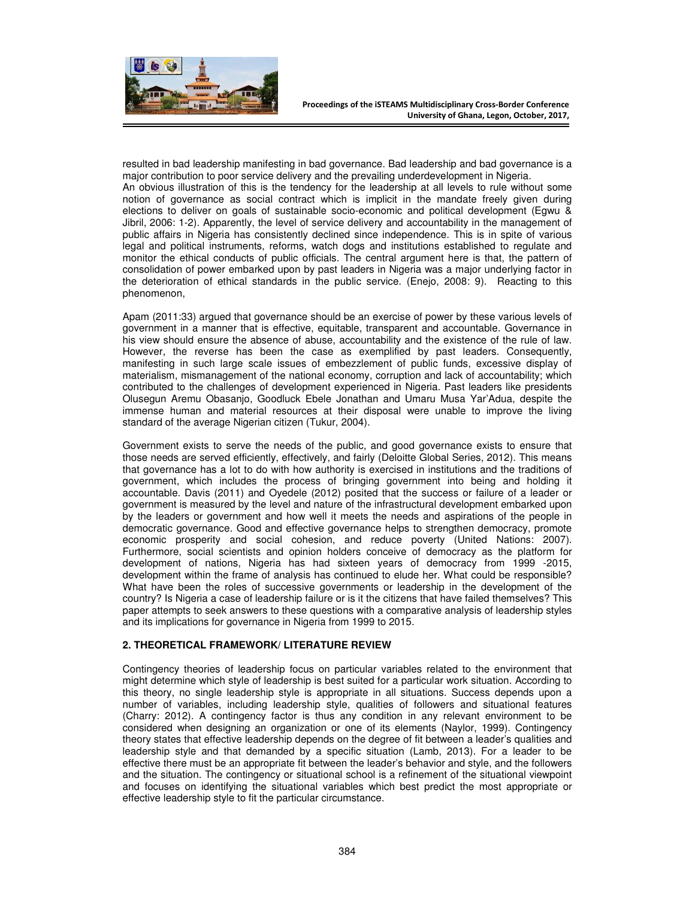

resulted in bad leadership manifesting in bad governance. Bad leadership and bad governance is a major contribution to poor service delivery and the prevailing underdevelopment in Nigeria. An obvious illustration of this is the tendency for the leadership at all levels to rule without some notion of governance as social contract which is implicit in the mandate freely given during elections to deliver on goals of sustainable socio-economic and political development (Egwu & Jibril, 2006: 1-2). Apparently, the level of service delivery and accountability in the management of public affairs in Nigeria has consistently declined since independence. This is in spite of various legal and political instruments, reforms, watch dogs and institutions established to regulate and monitor the ethical conducts of public officials. The central argument here is that, the pattern of consolidation of power embarked upon by past leaders in Nigeria was a major underlying factor in the deterioration of ethical standards in the public service. (Enejo, 2008: 9). Reacting to this phenomenon,

Apam (2011:33) argued that governance should be an exercise of power by these various levels of government in a manner that is effective, equitable, transparent and accountable. Governance in his view should ensure the absence of abuse, accountability and the existence of the rule of law. However, the reverse has been the case as exemplified by past leaders. Consequently, manifesting in such large scale issues of embezzlement of public funds, excessive display of materialism, mismanagement of the national economy, corruption and lack of accountability; which contributed to the challenges of development experienced in Nigeria. Past leaders like presidents Olusegun Aremu Obasanjo, Goodluck Ebele Jonathan and Umaru Musa Yar'Adua, despite the immense human and material resources at their disposal were unable to improve the living standard of the average Nigerian citizen (Tukur, 2004).

Government exists to serve the needs of the public, and good governance exists to ensure that those needs are served efficiently, effectively, and fairly (Deloitte Global Series, 2012). This means that governance has a lot to do with how authority is exercised in institutions and the traditions of government, which includes the process of bringing government into being and holding it accountable. Davis (2011) and Oyedele (2012) posited that the success or failure of a leader or government is measured by the level and nature of the infrastructural development embarked upon by the leaders or government and how well it meets the needs and aspirations of the people in democratic governance. Good and effective governance helps to strengthen democracy, promote economic prosperity and social cohesion, and reduce poverty (United Nations: 2007). Furthermore, social scientists and opinion holders conceive of democracy as the platform for development of nations, Nigeria has had sixteen years of democracy from 1999 -2015, development within the frame of analysis has continued to elude her. What could be responsible? What have been the roles of successive governments or leadership in the development of the country? Is Nigeria a case of leadership failure or is it the citizens that have failed themselves? This paper attempts to seek answers to these questions with a comparative analysis of leadership styles and its implications for governance in Nigeria from 1999 to 2015.

## **2. THEORETICAL FRAMEWORK/ LITERATURE REVIEW**

Contingency theories of leadership focus on particular variables related to the environment that might determine which style of leadership is best suited for a particular work situation. According to this theory, no single leadership style is appropriate in all situations. Success depends upon a number of variables, including leadership style, qualities of followers and situational features (Charry: 2012). A contingency factor is thus any condition in any relevant environment to be considered when designing an organization or one of its elements (Naylor, 1999). Contingency theory states that effective leadership depends on the degree of fit between a leader's qualities and leadership style and that demanded by a specific situation (Lamb, 2013). For a leader to be effective there must be an appropriate fit between the leader's behavior and style, and the followers and the situation. The contingency or situational school is a refinement of the situational viewpoint and focuses on identifying the situational variables which best predict the most appropriate or effective leadership style to fit the particular circumstance.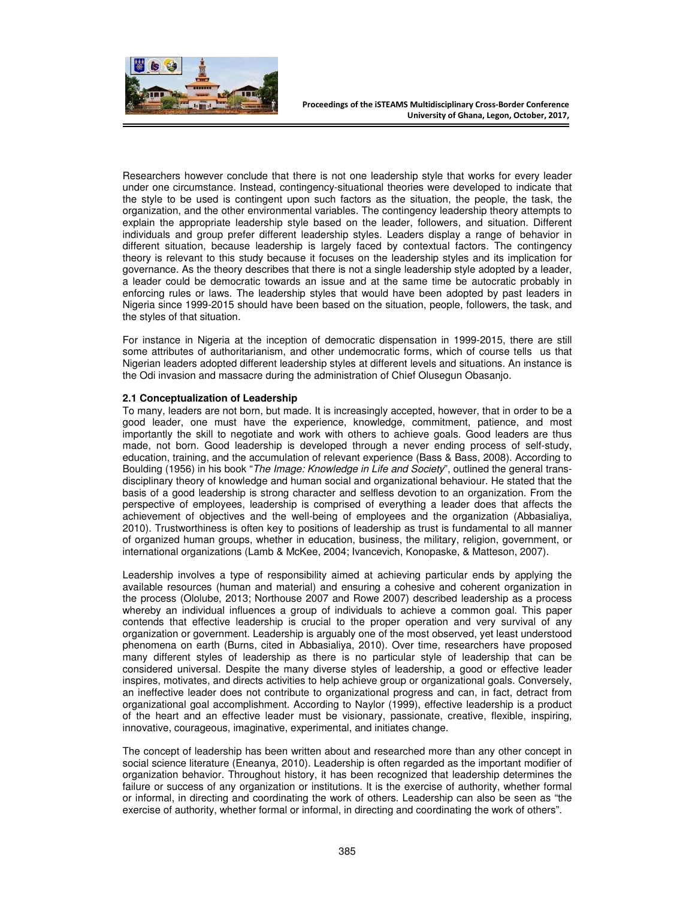

Researchers however conclude that there is not one leadership style that works for every leader under one circumstance. Instead, contingency-situational theories were developed to indicate that the style to be used is contingent upon such factors as the situation, the people, the task, the organization, and the other environmental variables. The contingency leadership theory attempts to explain the appropriate leadership style based on the leader, followers, and situation. Different individuals and group prefer different leadership styles. Leaders display a range of behavior in different situation, because leadership is largely faced by contextual factors. The contingency theory is relevant to this study because it focuses on the leadership styles and its implication for governance. As the theory describes that there is not a single leadership style adopted by a leader, a leader could be democratic towards an issue and at the same time be autocratic probably in enforcing rules or laws. The leadership styles that would have been adopted by past leaders in Nigeria since 1999-2015 should have been based on the situation, people, followers, the task, and the styles of that situation.

For instance in Nigeria at the inception of democratic dispensation in 1999-2015, there are still some attributes of authoritarianism, and other undemocratic forms, which of course tells us that Nigerian leaders adopted different leadership styles at different levels and situations. An instance is the Odi invasion and massacre during the administration of Chief Olusegun Obasanjo.

## **2.1 Conceptualization of Leadership**

To many, leaders are not born, but made. It is increasingly accepted, however, that in order to be a good leader, one must have the experience, knowledge, commitment, patience, and most importantly the skill to negotiate and work with others to achieve goals. Good leaders are thus made, not born. Good leadership is developed through a never ending process of self-study, education, training, and the accumulation of relevant experience (Bass & Bass, 2008). According to Boulding (1956) in his book "*The Image: Knowledge in Life and Society*", outlined the general transdisciplinary theory of knowledge and human social and organizational behaviour. He stated that the basis of a good leadership is strong character and selfless devotion to an organization. From the perspective of employees, leadership is comprised of everything a leader does that affects the achievement of objectives and the well-being of employees and the organization (Abbasialiya, 2010). Trustworthiness is often key to positions of leadership as trust is fundamental to all manner of organized human groups, whether in education, business, the military, religion, government, or international organizations (Lamb & McKee, 2004; Ivancevich, Konopaske, & Matteson, 2007).

Leadership involves a type of responsibility aimed at achieving particular ends by applying the available resources (human and material) and ensuring a cohesive and coherent organization in the process (Ololube, 2013; Northouse 2007 and Rowe 2007) described leadership as a process whereby an individual influences a group of individuals to achieve a common goal. This paper contends that effective leadership is crucial to the proper operation and very survival of any organization or government. Leadership is arguably one of the most observed, yet least understood phenomena on earth (Burns, cited in Abbasialiya, 2010). Over time, researchers have proposed many different styles of leadership as there is no particular style of leadership that can be considered universal. Despite the many diverse styles of leadership, a good or effective leader inspires, motivates, and directs activities to help achieve group or organizational goals. Conversely, an ineffective leader does not contribute to organizational progress and can, in fact, detract from organizational goal accomplishment. According to Naylor (1999), effective leadership is a product of the heart and an effective leader must be visionary, passionate, creative, flexible, inspiring, innovative, courageous, imaginative, experimental, and initiates change.

The concept of leadership has been written about and researched more than any other concept in social science literature (Eneanya, 2010). Leadership is often regarded as the important modifier of organization behavior. Throughout history, it has been recognized that leadership determines the failure or success of any organization or institutions. It is the exercise of authority, whether formal or informal, in directing and coordinating the work of others. Leadership can also be seen as "the exercise of authority, whether formal or informal, in directing and coordinating the work of others".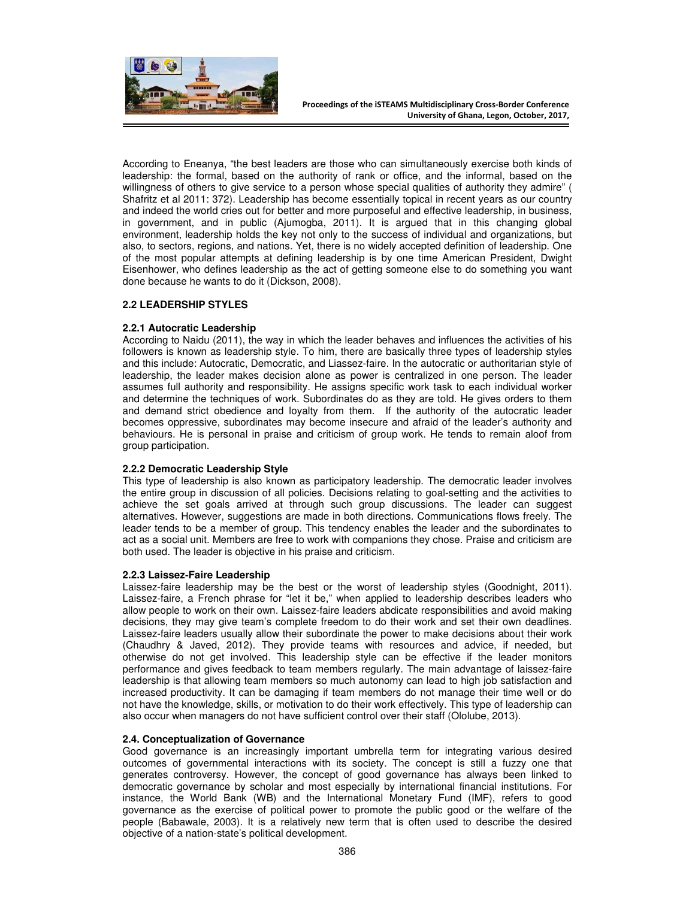

According to Eneanya, "the best leaders are those who can simultaneously exercise both kinds of leadership: the formal, based on the authority of rank or office, and the informal, based on the willingness of others to give service to a person whose special qualities of authority they admire" ( Shafritz et al 2011: 372). Leadership has become essentially topical in recent years as our country and indeed the world cries out for better and more purposeful and effective leadership, in business, in government, and in public (Ajumogba, 2011). It is argued that in this changing global environment, leadership holds the key not only to the success of individual and organizations, but also, to sectors, regions, and nations. Yet, there is no widely accepted definition of leadership. One of the most popular attempts at defining leadership is by one time American President, Dwight Eisenhower, who defines leadership as the act of getting someone else to do something you want done because he wants to do it (Dickson, 2008).

## **2.2 LEADERSHIP STYLES**

## **2.2.1 Autocratic Leadership**

According to Naidu (2011), the way in which the leader behaves and influences the activities of his followers is known as leadership style. To him, there are basically three types of leadership styles and this include: Autocratic, Democratic, and Liassez-faire. In the autocratic or authoritarian style of leadership, the leader makes decision alone as power is centralized in one person. The leader assumes full authority and responsibility. He assigns specific work task to each individual worker and determine the techniques of work. Subordinates do as they are told. He gives orders to them and demand strict obedience and loyalty from them. If the authority of the autocratic leader becomes oppressive, subordinates may become insecure and afraid of the leader's authority and behaviours. He is personal in praise and criticism of group work. He tends to remain aloof from group participation.

## **2.2.2 Democratic Leadership Style**

This type of leadership is also known as participatory leadership. The democratic leader involves the entire group in discussion of all policies. Decisions relating to goal-setting and the activities to achieve the set goals arrived at through such group discussions. The leader can suggest alternatives. However, suggestions are made in both directions. Communications flows freely. The leader tends to be a member of group. This tendency enables the leader and the subordinates to act as a social unit. Members are free to work with companions they chose. Praise and criticism are both used. The leader is objective in his praise and criticism.

## **2.2.3 Laissez-Faire Leadership**

Laissez-faire leadership may be the best or the worst of leadership styles (Goodnight, 2011). Laissez-faire, a French phrase for "let it be," when applied to leadership describes leaders who allow people to work on their own. Laissez-faire leaders abdicate responsibilities and avoid making decisions, they may give team's complete freedom to do their work and set their own deadlines. Laissez-faire leaders usually allow their subordinate the power to make decisions about their work (Chaudhry & Javed, 2012). They provide teams with resources and advice, if needed, but otherwise do not get involved. This leadership style can be effective if the leader monitors performance and gives feedback to team members regularly. The main advantage of laissez-faire leadership is that allowing team members so much autonomy can lead to high job satisfaction and increased productivity. It can be damaging if team members do not manage their time well or do not have the knowledge, skills, or motivation to do their work effectively. This type of leadership can also occur when managers do not have sufficient control over their staff (Ololube, 2013).

## **2.4. Conceptualization of Governance**

Good governance is an increasingly important umbrella term for integrating various desired outcomes of governmental interactions with its society. The concept is still a fuzzy one that generates controversy. However, the concept of good governance has always been linked to democratic governance by scholar and most especially by international financial institutions. For instance, the World Bank (WB) and the International Monetary Fund (IMF), refers to good governance as the exercise of political power to promote the public good or the welfare of the people (Babawale, 2003). It is a relatively new term that is often used to describe the desired objective of a nation-state's political development.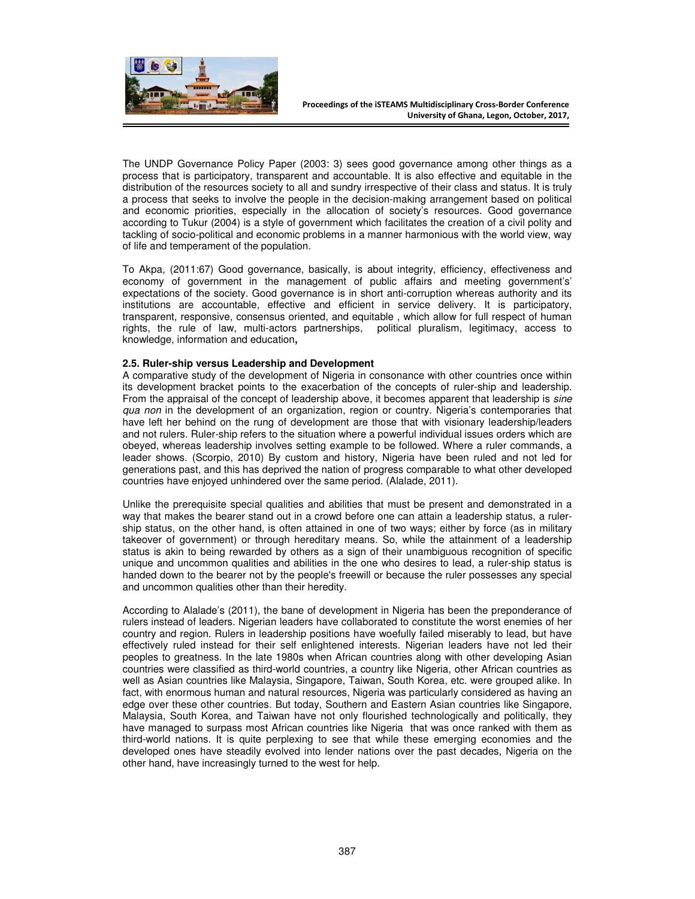

The UNDP Governance Policy Paper (2003: 3) sees good governance among other things as a process that is participatory, transparent and accountable. It is also effective and equitable in the distribution of the resources society to all and sundry irrespective of their class and status. It is truly a process that seeks to involve the people in the decision-making arrangement based on political and economic priorities, especially in the allocation of society's resources. Good governance according to Tukur (2004) is a style of government which facilitates the creation of a civil polity and tackling of socio-political and economic problems in a manner harmonious with the world view, way of life and temperament of the population.

To Akpa, (2011:67) Good governance, basically, is about integrity, efficiency, effectiveness and economy of government in the management of public affairs and meeting government's' expectations of the society. Good governance is in short anti-corruption whereas authority and its institutions are accountable, effective and efficient in service delivery. It is participatory, transparent, responsive, consensus oriented, and equitable , which allow for full respect of human rights, the rule of law, multi-actors partnerships, political pluralism, legitimacy, access to knowledge, information and education**,** 

#### **2.5. Ruler-ship versus Leadership and Development**

A comparative study of the development of Nigeria in consonance with other countries once within its development bracket points to the exacerbation of the concepts of ruler-ship and leadership. From the appraisal of the concept of leadership above, it becomes apparent that leadership is *sine qua non* in the development of an organization, region or country. Nigeria's contemporaries that have left her behind on the rung of development are those that with visionary leadership/leaders and not rulers. Ruler-ship refers to the situation where a powerful individual issues orders which are obeyed, whereas leadership involves setting example to be followed. Where a ruler commands, a leader shows. (Scorpio, 2010) By custom and history, Nigeria have been ruled and not led for generations past, and this has deprived the nation of progress comparable to what other developed countries have enjoyed unhindered over the same period. (Alalade, 2011).

Unlike the prerequisite special qualities and abilities that must be present and demonstrated in a way that makes the bearer stand out in a crowd before one can attain a leadership status, a rulership status, on the other hand, is often attained in one of two ways; either by force (as in military takeover of government) or through hereditary means. So, while the attainment of a leadership status is akin to being rewarded by others as a sign of their unambiguous recognition of specific unique and uncommon qualities and abilities in the one who desires to lead, a ruler-ship status is handed down to the bearer not by the people's freewill or because the ruler possesses any special and uncommon qualities other than their heredity.

According to Alalade's (2011), the bane of development in Nigeria has been the preponderance of rulers instead of leaders. Nigerian leaders have collaborated to constitute the worst enemies of her country and region. Rulers in leadership positions have woefully failed miserably to lead, but have effectively ruled instead for their self enlightened interests. Nigerian leaders have not led their peoples to greatness. In the late 1980s when African countries along with other developing Asian countries were classified as third-world countries, a country like Nigeria, other African countries as well as Asian countries like Malaysia, Singapore, Taiwan, South Korea, etc. were grouped alike. In fact, with enormous human and natural resources, Nigeria was particularly considered as having an edge over these other countries. But today, Southern and Eastern Asian countries like Singapore, Malaysia, South Korea, and Taiwan have not only flourished technologically and politically, they have managed to surpass most African countries like Nigeria that was once ranked with them as third-world nations. It is quite perplexing to see that while these emerging economies and the developed ones have steadily evolved into lender nations over the past decades, Nigeria on the other hand, have increasingly turned to the west for help.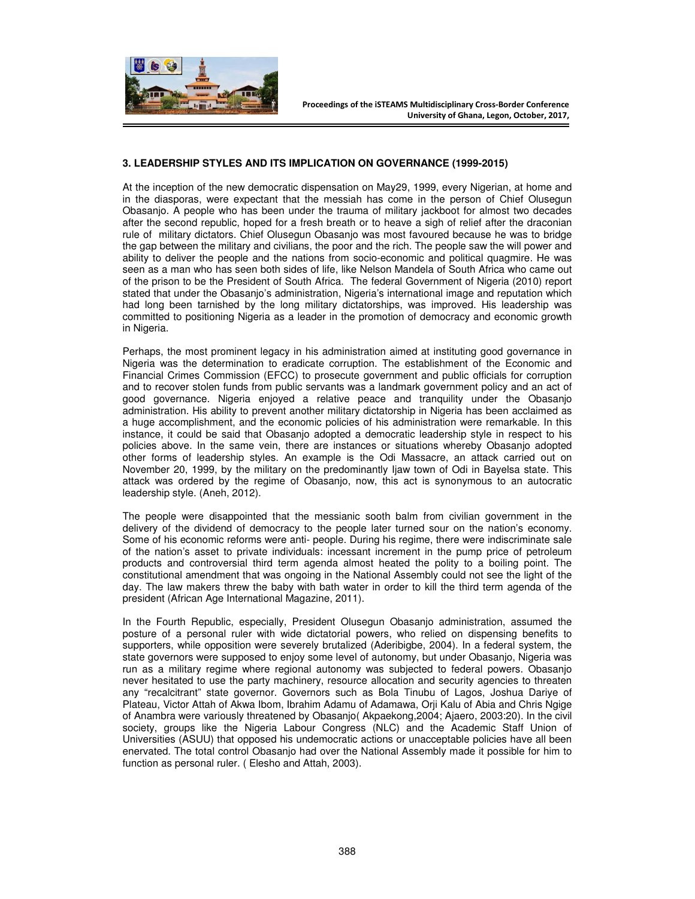

## **3. LEADERSHIP STYLES AND ITS IMPLICATION ON GOVERNANCE (1999-2015)**

At the inception of the new democratic dispensation on May29, 1999, every Nigerian, at home and in the diasporas, were expectant that the messiah has come in the person of Chief Olusegun Obasanjo. A people who has been under the trauma of military jackboot for almost two decades after the second republic, hoped for a fresh breath or to heave a sigh of relief after the draconian rule of military dictators. Chief Olusegun Obasanjo was most favoured because he was to bridge the gap between the military and civilians, the poor and the rich. The people saw the will power and ability to deliver the people and the nations from socio-economic and political quagmire. He was seen as a man who has seen both sides of life, like Nelson Mandela of South Africa who came out of the prison to be the President of South Africa. The federal Government of Nigeria (2010) report stated that under the Obasanjo's administration, Nigeria's international image and reputation which had long been tarnished by the long military dictatorships, was improved. His leadership was committed to positioning Nigeria as a leader in the promotion of democracy and economic growth in Nigeria.

Perhaps, the most prominent legacy in his administration aimed at instituting good governance in Nigeria was the determination to eradicate corruption. The establishment of the Economic and Financial Crimes Commission (EFCC) to prosecute government and public officials for corruption and to recover stolen funds from public servants was a landmark government policy and an act of good governance. Nigeria enjoyed a relative peace and tranquility under the Obasanjo administration. His ability to prevent another military dictatorship in Nigeria has been acclaimed as a huge accomplishment, and the economic policies of his administration were remarkable. In this instance, it could be said that Obasanjo adopted a democratic leadership style in respect to his policies above. In the same vein, there are instances or situations whereby Obasanjo adopted other forms of leadership styles. An example is the Odi Massacre, an attack carried out on November 20, 1999, by the military on the predominantly Ijaw town of Odi in Bayelsa state. This attack was ordered by the regime of Obasanjo, now, this act is synonymous to an autocratic leadership style. (Aneh, 2012).

The people were disappointed that the messianic sooth balm from civilian government in the delivery of the dividend of democracy to the people later turned sour on the nation's economy. Some of his economic reforms were anti- people. During his regime, there were indiscriminate sale of the nation's asset to private individuals: incessant increment in the pump price of petroleum products and controversial third term agenda almost heated the polity to a boiling point. The constitutional amendment that was ongoing in the National Assembly could not see the light of the day. The law makers threw the baby with bath water in order to kill the third term agenda of the president (African Age International Magazine, 2011).

In the Fourth Republic, especially, President Olusegun Obasanjo administration, assumed the posture of a personal ruler with wide dictatorial powers, who relied on dispensing benefits to supporters, while opposition were severely brutalized (Aderibigbe, 2004). In a federal system, the state governors were supposed to enjoy some level of autonomy, but under Obasanjo, Nigeria was run as a military regime where regional autonomy was subjected to federal powers. Obasanjo never hesitated to use the party machinery, resource allocation and security agencies to threaten any "recalcitrant" state governor. Governors such as Bola Tinubu of Lagos, Joshua Dariye of Plateau, Victor Attah of Akwa Ibom, Ibrahim Adamu of Adamawa, Orji Kalu of Abia and Chris Ngige of Anambra were variously threatened by Obasanjo( Akpaekong,2004; Ajaero, 2003:20). In the civil society, groups like the Nigeria Labour Congress (NLC) and the Academic Staff Union of Universities (ASUU) that opposed his undemocratic actions or unacceptable policies have all been enervated. The total control Obasanjo had over the National Assembly made it possible for him to function as personal ruler. ( Elesho and Attah, 2003).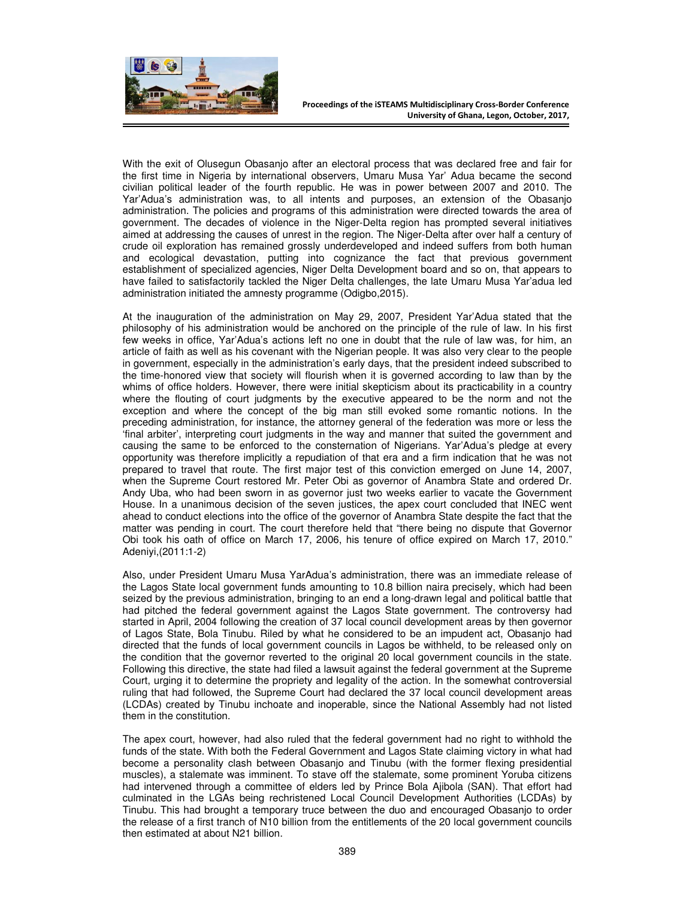

With the exit of Olusegun Obasanjo after an electoral process that was declared free and fair for the first time in Nigeria by international observers, Umaru Musa Yar' Adua became the second civilian political leader of the fourth republic. He was in power between 2007 and 2010. The Yar'Adua's administration was, to all intents and purposes, an extension of the Obasanjo administration. The policies and programs of this administration were directed towards the area of government. The decades of violence in the Niger-Delta region has prompted several initiatives aimed at addressing the causes of unrest in the region. The Niger-Delta after over half a century of crude oil exploration has remained grossly underdeveloped and indeed suffers from both human and ecological devastation, putting into cognizance the fact that previous government establishment of specialized agencies, Niger Delta Development board and so on, that appears to have failed to satisfactorily tackled the Niger Delta challenges, the late Umaru Musa Yar'adua led administration initiated the amnesty programme (Odigbo,2015).

At the inauguration of the administration on May 29, 2007, President Yar'Adua stated that the philosophy of his administration would be anchored on the principle of the rule of law. In his first few weeks in office, Yar'Adua's actions left no one in doubt that the rule of law was, for him, an article of faith as well as his covenant with the Nigerian people. It was also very clear to the people in government, especially in the administration's early days, that the president indeed subscribed to the time-honored view that society will flourish when it is governed according to law than by the whims of office holders. However, there were initial skepticism about its practicability in a country where the flouting of court judgments by the executive appeared to be the norm and not the exception and where the concept of the big man still evoked some romantic notions. In the preceding administration, for instance, the attorney general of the federation was more or less the 'final arbiter', interpreting court judgments in the way and manner that suited the government and causing the same to be enforced to the consternation of Nigerians. Yar'Adua's pledge at every opportunity was therefore implicitly a repudiation of that era and a firm indication that he was not prepared to travel that route. The first major test of this conviction emerged on June 14, 2007, when the Supreme Court restored Mr. Peter Obi as governor of Anambra State and ordered Dr. Andy Uba, who had been sworn in as governor just two weeks earlier to vacate the Government House. In a unanimous decision of the seven justices, the apex court concluded that INEC went ahead to conduct elections into the office of the governor of Anambra State despite the fact that the matter was pending in court. The court therefore held that "there being no dispute that Governor Obi took his oath of office on March 17, 2006, his tenure of office expired on March 17, 2010." Adeniyi,(2011:1-2)

Also, under President Umaru Musa YarAdua's administration, there was an immediate release of the Lagos State local government funds amounting to 10.8 billion naira precisely, which had been seized by the previous administration, bringing to an end a long-drawn legal and political battle that had pitched the federal government against the Lagos State government. The controversy had started in April, 2004 following the creation of 37 local council development areas by then governor of Lagos State, Bola Tinubu. Riled by what he considered to be an impudent act, Obasanjo had directed that the funds of local government councils in Lagos be withheld, to be released only on the condition that the governor reverted to the original 20 local government councils in the state. Following this directive, the state had filed a lawsuit against the federal government at the Supreme Court, urging it to determine the propriety and legality of the action. In the somewhat controversial ruling that had followed, the Supreme Court had declared the 37 local council development areas (LCDAs) created by Tinubu inchoate and inoperable, since the National Assembly had not listed them in the constitution.

The apex court, however, had also ruled that the federal government had no right to withhold the funds of the state. With both the Federal Government and Lagos State claiming victory in what had become a personality clash between Obasanjo and Tinubu (with the former flexing presidential muscles), a stalemate was imminent. To stave off the stalemate, some prominent Yoruba citizens had intervened through a committee of elders led by Prince Bola Ajibola (SAN). That effort had culminated in the LGAs being rechristened Local Council Development Authorities (LCDAs) by Tinubu. This had brought a temporary truce between the duo and encouraged Obasanjo to order the release of a first tranch of N10 billion from the entitlements of the 20 local government councils then estimated at about N21 billion.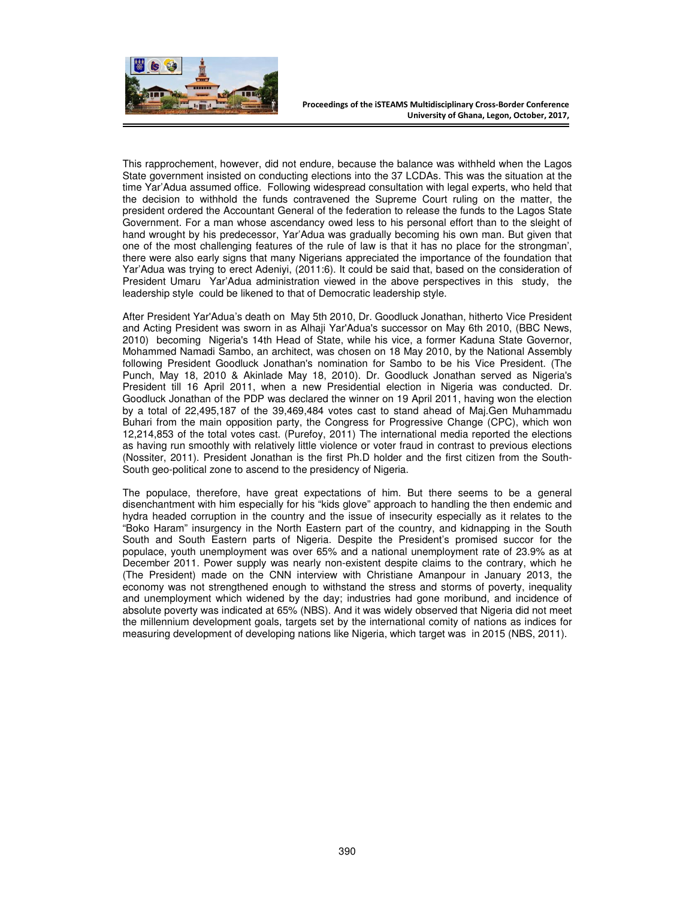

This rapprochement, however, did not endure, because the balance was withheld when the Lagos State government insisted on conducting elections into the 37 LCDAs. This was the situation at the time Yar'Adua assumed office. Following widespread consultation with legal experts, who held that the decision to withhold the funds contravened the Supreme Court ruling on the matter, the president ordered the Accountant General of the federation to release the funds to the Lagos State Government. For a man whose ascendancy owed less to his personal effort than to the sleight of hand wrought by his predecessor, Yar'Adua was gradually becoming his own man. But given that one of the most challenging features of the rule of law is that it has no place for the strongman', there were also early signs that many Nigerians appreciated the importance of the foundation that Yar'Adua was trying to erect Adeniyi, (2011:6). It could be said that, based on the consideration of President Umaru Yar'Adua administration viewed in the above perspectives in this study, the leadership style could be likened to that of Democratic leadership style.

After President Yar'Adua's death on May 5th 2010, Dr. Goodluck Jonathan, hitherto Vice President and Acting President was sworn in as Alhaji Yar'Adua's successor on May 6th 2010, (BBC News, 2010) becomingNigeria's 14th Head of State, while his vice, a former Kaduna State Governor, Mohammed Namadi Sambo, an architect, was chosen on 18 May 2010, by the National Assembly following President Goodluck Jonathan's nomination for Sambo to be his Vice President. (The Punch, May 18, 2010 & Akinlade May 18, 2010). Dr. Goodluck Jonathan served as Nigeria's President till 16 April 2011, when a new Presidential election in Nigeria was conducted. Dr. Goodluck Jonathan of the PDP was declared the winner on 19 April 2011, having won the election by a total of 22,495,187 of the 39,469,484 votes cast to stand ahead of Maj.Gen Muhammadu Buhari from the main opposition party, the Congress for Progressive Change (CPC), which won 12,214,853 of the total votes cast. (Purefoy, 2011) The international media reported the elections as having run smoothly with relatively little violence or voter fraud in contrast to previous elections (Nossiter, 2011). President Jonathan is the first Ph.D holder and the first citizen from the South-South geo-political zone to ascend to the presidency of Nigeria.

The populace, therefore, have great expectations of him. But there seems to be a general disenchantment with him especially for his "kids glove" approach to handling the then endemic and hydra headed corruption in the country and the issue of insecurity especially as it relates to the "Boko Haram" insurgency in the North Eastern part of the country, and kidnapping in the South South and South Eastern parts of Nigeria. Despite the President's promised succor for the populace, youth unemployment was over 65% and a national unemployment rate of 23.9% as at December 2011. Power supply was nearly non-existent despite claims to the contrary, which he (The President) made on the CNN interview with Christiane Amanpour in January 2013, the economy was not strengthened enough to withstand the stress and storms of poverty, inequality and unemployment which widened by the day; industries had gone moribund, and incidence of absolute poverty was indicated at 65% (NBS). And it was widely observed that Nigeria did not meet the millennium development goals, targets set by the international comity of nations as indices for measuring development of developing nations like Nigeria, which target was in 2015 (NBS, 2011).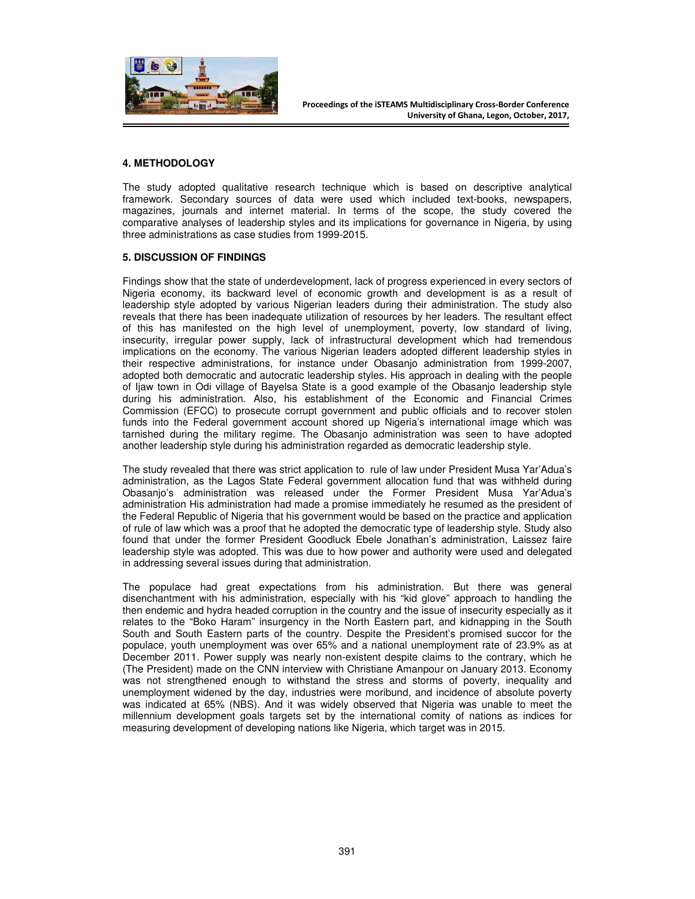

## **4. METHODOLOGY**

The study adopted qualitative research technique which is based on descriptive analytical framework. Secondary sources of data were used which included text-books, newspapers, magazines, journals and internet material. In terms of the scope, the study covered the comparative analyses of leadership styles and its implications for governance in Nigeria, by using three administrations as case studies from 1999-2015.

#### **5. DISCUSSION OF FINDINGS**

Findings show that the state of underdevelopment, lack of progress experienced in every sectors of Nigeria economy, its backward level of economic growth and development is as a result of leadership style adopted by various Nigerian leaders during their administration. The study also reveals that there has been inadequate utilization of resources by her leaders. The resultant effect of this has manifested on the high level of unemployment, poverty, low standard of living, insecurity, irregular power supply, lack of infrastructural development which had tremendous implications on the economy. The various Nigerian leaders adopted different leadership styles in their respective administrations, for instance under Obasanjo administration from 1999-2007, adopted both democratic and autocratic leadership styles. His approach in dealing with the people of Ijaw town in Odi village of Bayelsa State is a good example of the Obasanjo leadership style during his administration. Also, his establishment of the Economic and Financial Crimes Commission (EFCC) to prosecute corrupt government and public officials and to recover stolen funds into the Federal government account shored up Nigeria's international image which was tarnished during the military regime. The Obasanjo administration was seen to have adopted another leadership style during his administration regarded as democratic leadership style.

The study revealed that there was strict application to rule of law under President Musa Yar'Adua's administration, as the Lagos State Federal government allocation fund that was withheld during Obasanjo's administration was released under the Former President Musa Yar'Adua's administration His administration had made a promise immediately he resumed as the president of the Federal Republic of Nigeria that his government would be based on the practice and application of rule of law which was a proof that he adopted the democratic type of leadership style. Study also found that under the former President Goodluck Ebele Jonathan's administration, Laissez faire leadership style was adopted. This was due to how power and authority were used and delegated in addressing several issues during that administration.

The populace had great expectations from his administration. But there was general disenchantment with his administration, especially with his "kid glove" approach to handling the then endemic and hydra headed corruption in the country and the issue of insecurity especially as it relates to the "Boko Haram" insurgency in the North Eastern part, and kidnapping in the South South and South Eastern parts of the country. Despite the President's promised succor for the populace, youth unemployment was over 65% and a national unemployment rate of 23.9% as at December 2011. Power supply was nearly non-existent despite claims to the contrary, which he (The President) made on the CNN interview with Christiane Amanpour on January 2013. Economy was not strengthened enough to withstand the stress and storms of poverty, inequality and unemployment widened by the day, industries were moribund, and incidence of absolute poverty was indicated at 65% (NBS). And it was widely observed that Nigeria was unable to meet the millennium development goals targets set by the international comity of nations as indices for measuring development of developing nations like Nigeria, which target was in 2015.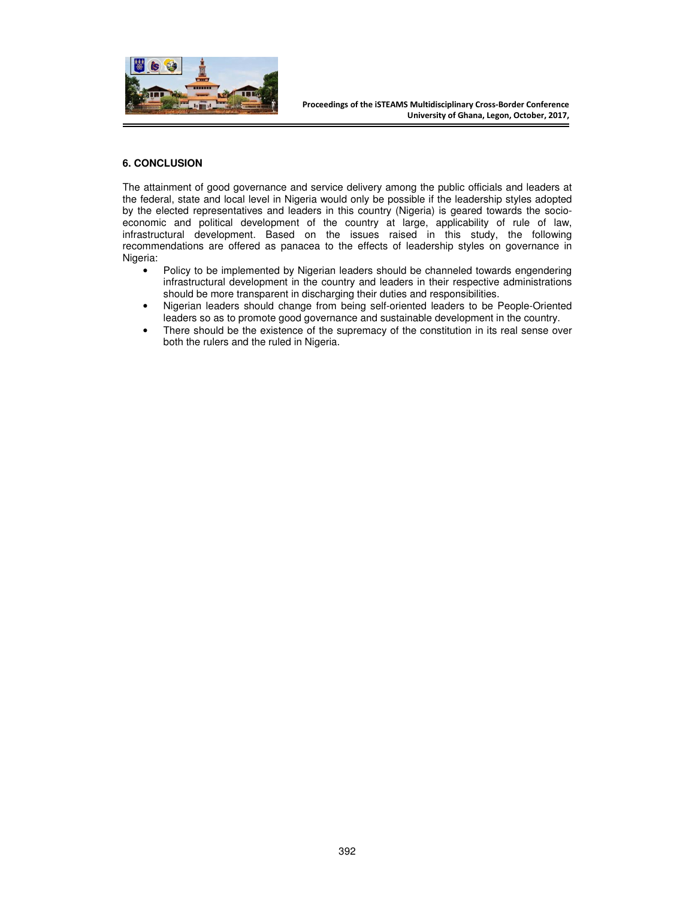

# **6. CONCLUSION**

The attainment of good governance and service delivery among the public officials and leaders at the federal, state and local level in Nigeria would only be possible if the leadership styles adopted by the elected representatives and leaders in this country (Nigeria) is geared towards the socioeconomic and political development of the country at large, applicability of rule of law, infrastructural development. Based on the issues raised in this study, the following recommendations are offered as panacea to the effects of leadership styles on governance in Nigeria:

- Policy to be implemented by Nigerian leaders should be channeled towards engendering infrastructural development in the country and leaders in their respective administrations should be more transparent in discharging their duties and responsibilities.
- Nigerian leaders should change from being self-oriented leaders to be People-Oriented leaders so as to promote good governance and sustainable development in the country.
- There should be the existence of the supremacy of the constitution in its real sense over both the rulers and the ruled in Nigeria.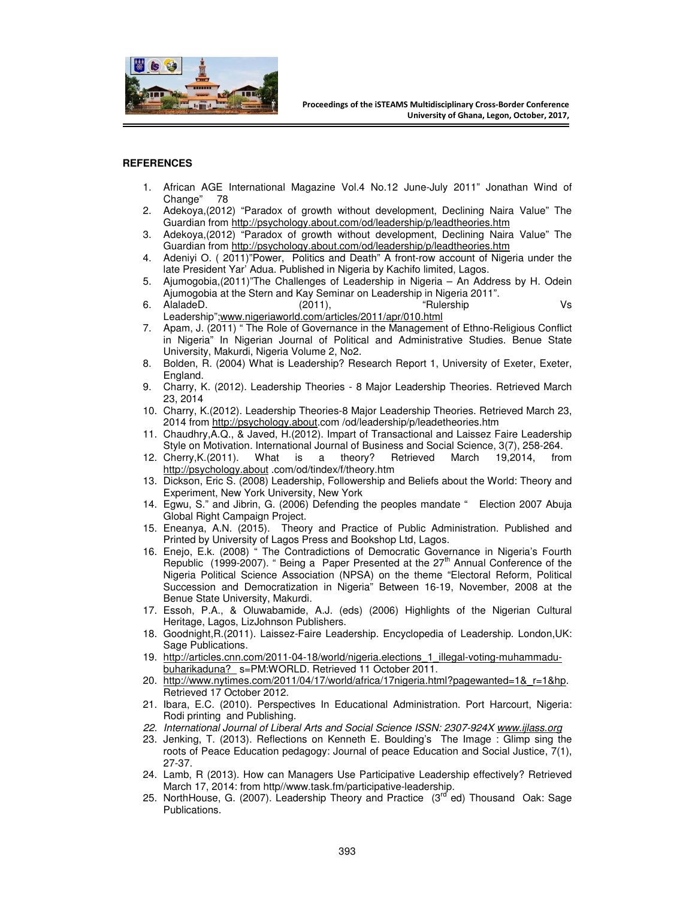

## **REFERENCES**

- 1. African AGE International Magazine Vol.4 No.12 June-July 2011" Jonathan Wind of Change" 78
- 2. Adekoya,(2012) "Paradox of growth without development, Declining Naira Value" The Guardian from http://psychology.about.com/od/leadership/p/leadtheories.htm
- 3. Adekoya,(2012) "Paradox of growth without development, Declining Naira Value" The Guardian from http://psychology.about.com/od/leadership/p/leadtheories.htm
- 4. Adeniyi O. ( 2011)"Power, Politics and Death" A front-row account of Nigeria under the late President Yar' Adua. Published in Nigeria by Kachifo limited, Lagos.
- 5. Ajumogobia,(2011)"The Challenges of Leadership in Nigeria An Address by H. Odein Ajumogobia at the Stern and Kay Seminar on Leadership in Nigeria 2011".
- 6. AlaladeD. (2011), "Rulership Vs Leadership";www.nigeriaworld.com/articles/2011/apr/010.html
- 7. Apam, J. (2011) " The Role of Governance in the Management of Ethno-Religious Conflict in Nigeria" In Nigerian Journal of Political and Administrative Studies. Benue State University, Makurdi, Nigeria Volume 2, No2.
- 8. Bolden, R. (2004) What is Leadership? Research Report 1, University of Exeter, Exeter, England.
- 9. Charry, K. (2012). Leadership Theories 8 Major Leadership Theories. Retrieved March 23, 2014
- 10. Charry, K.(2012). Leadership Theories-8 Major Leadership Theories. Retrieved March 23, 2014 from http://psychology.about.com /od/leadership/p/leadetheories.htm
- 11. Chaudhry,A.Q., & Javed, H.(2012). Impart of Transactional and Laissez Faire Leadership Style on Motivation. International Journal of Business and Social Science, 3(7), 258-264.
- 12. Cherry,K.(2011). What is a theory? Retrieved March 19,2014, from http://psychology.about .com/od/tindex/f/theory.htm
- 13. Dickson, Eric S. (2008) Leadership, Followership and Beliefs about the World: Theory and Experiment, New York University, New York
- 14. Egwu, S." and Jibrin, G. (2006) Defending the peoples mandate " Election 2007 Abuja Global Right Campaign Project.
- 15. Eneanya, A.N. (2015). Theory and Practice of Public Administration. Published and Printed by University of Lagos Press and Bookshop Ltd, Lagos.
- 16. Enejo, E.k. (2008) " The Contradictions of Democratic Governance in Nigeria's Fourth Republic (1999-2007). " Being a Paper Presented at the 27<sup>th</sup> Annual Conference of the Nigeria Political Science Association (NPSA) on the theme "Electoral Reform, Political Succession and Democratization in Nigeria" Between 16-19, November, 2008 at the Benue State University, Makurdi.
- 17. Essoh, P.A., & Oluwabamide, A.J. (eds) (2006) Highlights of the Nigerian Cultural Heritage, Lagos, LizJohnson Publishers.
- 18. Goodnight,R.(2011). Laissez-Faire Leadership. Encyclopedia of Leadership. London,UK: Sage Publications.
- 19. http://articles.cnn.com/2011-04-18/world/nigeria.elections\_1\_illegal-voting-muhammadubuharikaduna?\_ s=PM:WORLD. Retrieved 11 October 2011.
- 20. http://www.nytimes.com/2011/04/17/world/africa/17nigeria.html?pagewanted=1&\_r=1&hp. Retrieved 17 October 2012.
- 21. Ibara, E.C. (2010). Perspectives In Educational Administration. Port Harcourt, Nigeria: Rodi printing and Publishing.
- *22. International Journal of Liberal Arts and Social Science ISSN: 2307-924X www.ijlass.org*
- 23. Jenking, T. (2013). Reflections on Kenneth E. Boulding's The Image : Glimp sing the roots of Peace Education pedagogy: Journal of peace Education and Social Justice, 7(1), 27-37.
- 24. Lamb, R (2013). How can Managers Use Participative Leadership effectively? Retrieved March 17, 2014: from http//www.task.fm/participative-leadership.
- 25. NorthHouse, G. (2007). Leadership Theory and Practice  $(3<sup>rd</sup>$  ed) Thousand Oak: Sage Publications.